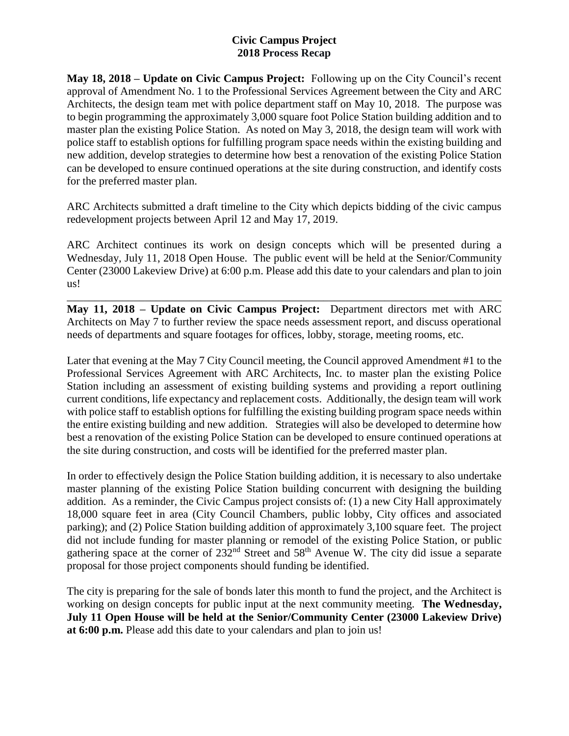**May 18, 2018 – Update on Civic Campus Project:** Following up on the City Council's recent approval of Amendment No. 1 to the Professional Services Agreement between the City and ARC Architects, the design team met with police department staff on May 10, 2018. The purpose was to begin programming the approximately 3,000 square foot Police Station building addition and to master plan the existing Police Station. As noted on May 3, 2018, the design team will work with police staff to establish options for fulfilling program space needs within the existing building and new addition, develop strategies to determine how best a renovation of the existing Police Station can be developed to ensure continued operations at the site during construction, and identify costs for the preferred master plan.

ARC Architects submitted a draft timeline to the City which depicts bidding of the civic campus redevelopment projects between April 12 and May 17, 2019.

ARC Architect continues its work on design concepts which will be presented during a Wednesday, July 11, 2018 Open House. The public event will be held at the Senior/Community Center (23000 Lakeview Drive) at 6:00 p.m. Please add this date to your calendars and plan to join us!

**May 11, 2018 – Update on Civic Campus Project:** Department directors met with ARC Architects on May 7 to further review the space needs assessment report, and discuss operational needs of departments and square footages for offices, lobby, storage, meeting rooms, etc.

\_\_\_\_\_\_\_\_\_\_\_\_\_\_\_\_\_\_\_\_\_\_\_\_\_\_\_\_\_\_\_\_\_\_\_\_\_\_\_\_\_\_\_\_\_\_\_\_\_\_\_\_\_\_\_\_\_\_\_\_\_\_\_\_\_\_\_\_\_\_\_\_\_\_\_\_\_\_

Later that evening at the May 7 City Council meeting, the Council approved Amendment #1 to the Professional Services Agreement with ARC Architects, Inc. to master plan the existing Police Station including an assessment of existing building systems and providing a report outlining current conditions, life expectancy and replacement costs. Additionally, the design team will work with police staff to establish options for fulfilling the existing building program space needs within the entire existing building and new addition. Strategies will also be developed to determine how best a renovation of the existing Police Station can be developed to ensure continued operations at the site during construction, and costs will be identified for the preferred master plan.

In order to effectively design the Police Station building addition, it is necessary to also undertake master planning of the existing Police Station building concurrent with designing the building addition. As a reminder, the Civic Campus project consists of: (1) a new City Hall approximately 18,000 square feet in area (City Council Chambers, public lobby, City offices and associated parking); and (2) Police Station building addition of approximately 3,100 square feet. The project did not include funding for master planning or remodel of the existing Police Station, or public gathering space at the corner of 232nd Street and 58th Avenue W. The city did issue a separate proposal for those project components should funding be identified.

The city is preparing for the sale of bonds later this month to fund the project, and the Architect is working on design concepts for public input at the next community meeting. **The Wednesday, July 11 Open House will be held at the Senior/Community Center (23000 Lakeview Drive) at 6:00 p.m.** Please add this date to your calendars and plan to join us!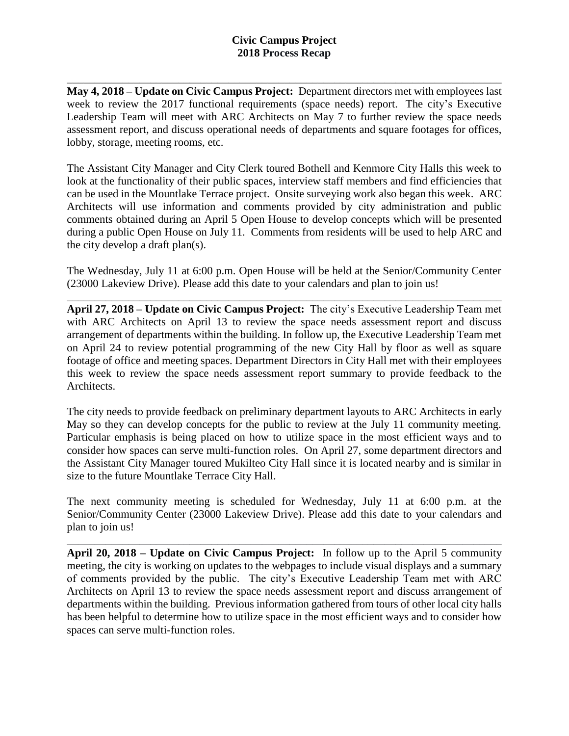\_\_\_\_\_\_\_\_\_\_\_\_\_\_\_\_\_\_\_\_\_\_\_\_\_\_\_\_\_\_\_\_\_\_\_\_\_\_\_\_\_\_\_\_\_\_\_\_\_\_\_\_\_\_\_\_\_\_\_\_\_\_\_\_\_\_\_\_\_\_\_\_\_\_\_\_\_\_ **May 4, 2018 – Update on Civic Campus Project:** Department directors met with employees last week to review the 2017 functional requirements (space needs) report. The city's Executive Leadership Team will meet with ARC Architects on May 7 to further review the space needs assessment report, and discuss operational needs of departments and square footages for offices, lobby, storage, meeting rooms, etc.

The Assistant City Manager and City Clerk toured Bothell and Kenmore City Halls this week to look at the functionality of their public spaces, interview staff members and find efficiencies that can be used in the Mountlake Terrace project. Onsite surveying work also began this week. ARC Architects will use information and comments provided by city administration and public comments obtained during an April 5 Open House to develop concepts which will be presented during a public Open House on July 11. Comments from residents will be used to help ARC and the city develop a draft plan(s).

The Wednesday, July 11 at 6:00 p.m. Open House will be held at the Senior/Community Center (23000 Lakeview Drive). Please add this date to your calendars and plan to join us!

\_\_\_\_\_\_\_\_\_\_\_\_\_\_\_\_\_\_\_\_\_\_\_\_\_\_\_\_\_\_\_\_\_\_\_\_\_\_\_\_\_\_\_\_\_\_\_\_\_\_\_\_\_\_\_\_\_\_\_\_\_\_\_\_\_\_\_\_\_\_\_\_\_\_\_\_\_\_

**April 27, 2018 – Update on Civic Campus Project:** The city's Executive Leadership Team met with ARC Architects on April 13 to review the space needs assessment report and discuss arrangement of departments within the building. In follow up, the Executive Leadership Team met on April 24 to review potential programming of the new City Hall by floor as well as square footage of office and meeting spaces. Department Directors in City Hall met with their employees this week to review the space needs assessment report summary to provide feedback to the Architects.

The city needs to provide feedback on preliminary department layouts to ARC Architects in early May so they can develop concepts for the public to review at the July 11 community meeting. Particular emphasis is being placed on how to utilize space in the most efficient ways and to consider how spaces can serve multi-function roles. On April 27, some department directors and the Assistant City Manager toured Mukilteo City Hall since it is located nearby and is similar in size to the future Mountlake Terrace City Hall.

The next community meeting is scheduled for Wednesday, July 11 at 6:00 p.m. at the Senior/Community Center (23000 Lakeview Drive). Please add this date to your calendars and plan to join us!

\_\_\_\_\_\_\_\_\_\_\_\_\_\_\_\_\_\_\_\_\_\_\_\_\_\_\_\_\_\_\_\_\_\_\_\_\_\_\_\_\_\_\_\_\_\_\_\_\_\_\_\_\_\_\_\_\_\_\_\_\_\_\_\_\_\_\_\_\_\_\_\_\_\_\_\_\_\_

**April 20, 2018 – Update on Civic Campus Project:** In follow up to the April 5 community meeting, the city is working on updates to the webpages to include visual displays and a summary of comments provided by the public. The city's Executive Leadership Team met with ARC Architects on April 13 to review the space needs assessment report and discuss arrangement of departments within the building. Previous information gathered from tours of other local city halls has been helpful to determine how to utilize space in the most efficient ways and to consider how spaces can serve multi-function roles.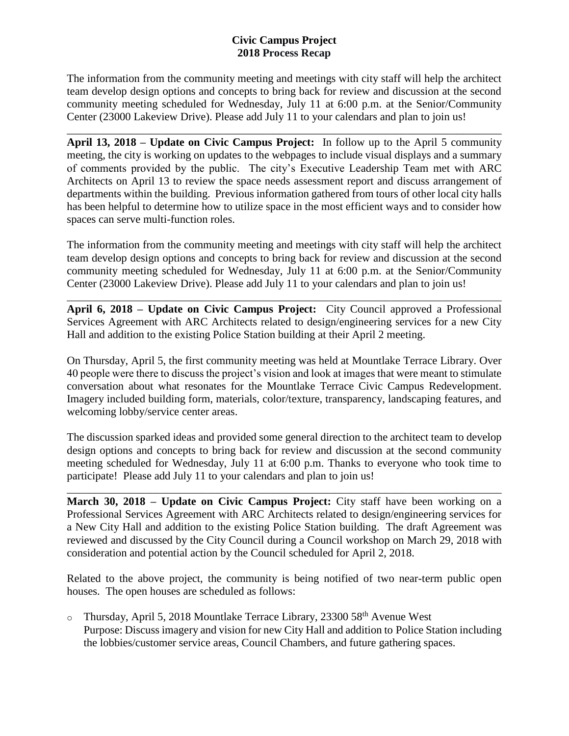The information from the community meeting and meetings with city staff will help the architect team develop design options and concepts to bring back for review and discussion at the second community meeting scheduled for Wednesday, July 11 at 6:00 p.m. at the Senior/Community Center (23000 Lakeview Drive). Please add July 11 to your calendars and plan to join us!

\_\_\_\_\_\_\_\_\_\_\_\_\_\_\_\_\_\_\_\_\_\_\_\_\_\_\_\_\_\_\_\_\_\_\_\_\_\_\_\_\_\_\_\_\_\_\_\_\_\_\_\_\_\_\_\_\_\_\_\_\_\_\_\_\_\_\_\_\_\_\_\_\_\_\_\_\_\_

**April 13, 2018 – Update on Civic Campus Project:** In follow up to the April 5 community meeting, the city is working on updates to the webpages to include visual displays and a summary of comments provided by the public. The city's Executive Leadership Team met with ARC Architects on April 13 to review the space needs assessment report and discuss arrangement of departments within the building. Previous information gathered from tours of other local city halls has been helpful to determine how to utilize space in the most efficient ways and to consider how spaces can serve multi-function roles.

The information from the community meeting and meetings with city staff will help the architect team develop design options and concepts to bring back for review and discussion at the second community meeting scheduled for Wednesday, July 11 at 6:00 p.m. at the Senior/Community Center (23000 Lakeview Drive). Please add July 11 to your calendars and plan to join us!

**April 6, 2018 – Update on Civic Campus Project:** City Council approved a Professional Services Agreement with ARC Architects related to design/engineering services for a new City Hall and addition to the existing Police Station building at their April 2 meeting.

\_\_\_\_\_\_\_\_\_\_\_\_\_\_\_\_\_\_\_\_\_\_\_\_\_\_\_\_\_\_\_\_\_\_\_\_\_\_\_\_\_\_\_\_\_\_\_\_\_\_\_\_\_\_\_\_\_\_\_\_\_\_\_\_\_\_\_\_\_\_\_\_\_\_\_\_\_\_

On Thursday, April 5, the first community meeting was held at Mountlake Terrace Library. Over 40 people were there to discuss the project's vision and look at images that were meant to stimulate conversation about what resonates for the Mountlake Terrace Civic Campus Redevelopment. Imagery included building form, materials, color/texture, transparency, landscaping features, and welcoming lobby/service center areas.

The discussion sparked ideas and provided some general direction to the architect team to develop design options and concepts to bring back for review and discussion at the second community meeting scheduled for Wednesday, July 11 at 6:00 p.m. Thanks to everyone who took time to participate! Please add July 11 to your calendars and plan to join us!

\_\_\_\_\_\_\_\_\_\_\_\_\_\_\_\_\_\_\_\_\_\_\_\_\_\_\_\_\_\_\_\_\_\_\_\_\_\_\_\_\_\_\_\_\_\_\_\_\_\_\_\_\_\_\_\_\_\_\_\_\_\_\_\_\_\_\_\_\_\_\_\_\_\_\_\_\_\_

**March 30, 2018 – Update on Civic Campus Project:** City staff have been working on a Professional Services Agreement with ARC Architects related to design/engineering services for a New City Hall and addition to the existing Police Station building. The draft Agreement was reviewed and discussed by the City Council during a Council workshop on March 29, 2018 with consideration and potential action by the Council scheduled for April 2, 2018.

Related to the above project, the community is being notified of two near-term public open houses. The open houses are scheduled as follows:

o Thursday, April 5, 2018 Mountlake Terrace Library, 23300  $58<sup>th</sup>$  Avenue West Purpose: Discuss imagery and vision for new City Hall and addition to Police Station including the lobbies/customer service areas, Council Chambers, and future gathering spaces.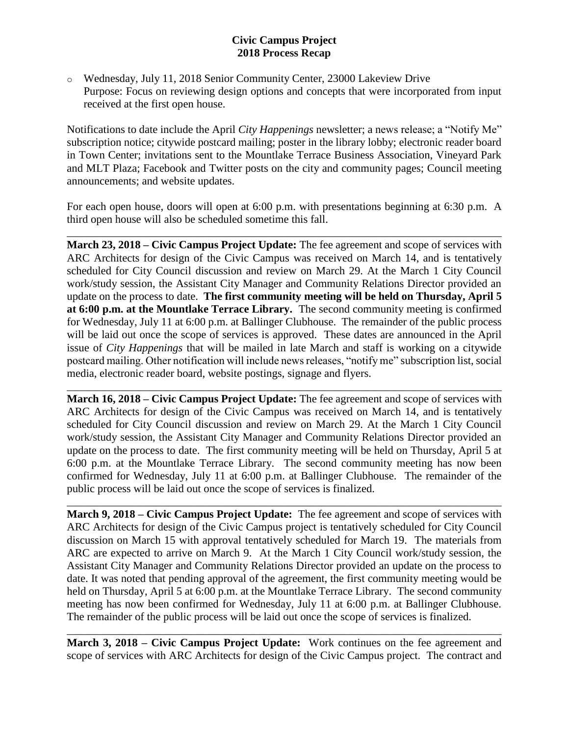o Wednesday, July 11, 2018 Senior Community Center, 23000 Lakeview Drive Purpose: Focus on reviewing design options and concepts that were incorporated from input received at the first open house.

Notifications to date include the April *City Happenings* newsletter; a news release; a "Notify Me" subscription notice; citywide postcard mailing; poster in the library lobby; electronic reader board in Town Center; invitations sent to the Mountlake Terrace Business Association, Vineyard Park and MLT Plaza; Facebook and Twitter posts on the city and community pages; Council meeting announcements; and website updates.

For each open house, doors will open at 6:00 p.m. with presentations beginning at 6:30 p.m. A third open house will also be scheduled sometime this fall.

\_\_\_\_\_\_\_\_\_\_\_\_\_\_\_\_\_\_\_\_\_\_\_\_\_\_\_\_\_\_\_\_\_\_\_\_\_\_\_\_\_\_\_\_\_\_\_\_\_\_\_\_\_\_\_\_\_\_\_\_\_\_\_\_\_\_\_\_\_\_\_\_\_\_\_\_\_\_

**March 23, 2018 – Civic Campus Project Update:** The fee agreement and scope of services with ARC Architects for design of the Civic Campus was received on March 14, and is tentatively scheduled for City Council discussion and review on March 29. At the March 1 City Council work/study session, the Assistant City Manager and Community Relations Director provided an update on the process to date. **The first community meeting will be held on Thursday, April 5 at 6:00 p.m. at the Mountlake Terrace Library.** The second community meeting is confirmed for Wednesday, July 11 at 6:00 p.m. at Ballinger Clubhouse. The remainder of the public process will be laid out once the scope of services is approved. These dates are announced in the April issue of *City Happenings* that will be mailed in late March and staff is working on a citywide postcard mailing. Other notification will include news releases, "notify me" subscription list, social media, electronic reader board, website postings, signage and flyers.

**March 16, 2018 – Civic Campus Project Update:** The fee agreement and scope of services with ARC Architects for design of the Civic Campus was received on March 14, and is tentatively scheduled for City Council discussion and review on March 29. At the March 1 City Council work/study session, the Assistant City Manager and Community Relations Director provided an update on the process to date. The first community meeting will be held on Thursday, April 5 at 6:00 p.m. at the Mountlake Terrace Library. The second community meeting has now been confirmed for Wednesday, July 11 at 6:00 p.m. at Ballinger Clubhouse. The remainder of the public process will be laid out once the scope of services is finalized.

\_\_\_\_\_\_\_\_\_\_\_\_\_\_\_\_\_\_\_\_\_\_\_\_\_\_\_\_\_\_\_\_\_\_\_\_\_\_\_\_\_\_\_\_\_\_\_\_\_\_\_\_\_\_\_\_\_\_\_\_\_\_\_\_\_\_\_\_\_\_\_\_\_\_\_\_\_\_

\_\_\_\_\_\_\_\_\_\_\_\_\_\_\_\_\_\_\_\_\_\_\_\_\_\_\_\_\_\_\_\_\_\_\_\_\_\_\_\_\_\_\_\_\_\_\_\_\_\_\_\_\_\_\_\_\_\_\_\_\_\_\_\_\_\_\_\_\_\_\_\_\_\_\_\_\_\_

**March 9, 2018 – Civic Campus Project Update:** The fee agreement and scope of services with ARC Architects for design of the Civic Campus project is tentatively scheduled for City Council discussion on March 15 with approval tentatively scheduled for March 19. The materials from ARC are expected to arrive on March 9. At the March 1 City Council work/study session, the Assistant City Manager and Community Relations Director provided an update on the process to date. It was noted that pending approval of the agreement, the first community meeting would be held on Thursday, April 5 at 6:00 p.m. at the Mountlake Terrace Library. The second community meeting has now been confirmed for Wednesday, July 11 at 6:00 p.m. at Ballinger Clubhouse. The remainder of the public process will be laid out once the scope of services is finalized.

**March 3, 2018 – Civic Campus Project Update:** Work continues on the fee agreement and scope of services with ARC Architects for design of the Civic Campus project. The contract and

\_\_\_\_\_\_\_\_\_\_\_\_\_\_\_\_\_\_\_\_\_\_\_\_\_\_\_\_\_\_\_\_\_\_\_\_\_\_\_\_\_\_\_\_\_\_\_\_\_\_\_\_\_\_\_\_\_\_\_\_\_\_\_\_\_\_\_\_\_\_\_\_\_\_\_\_\_\_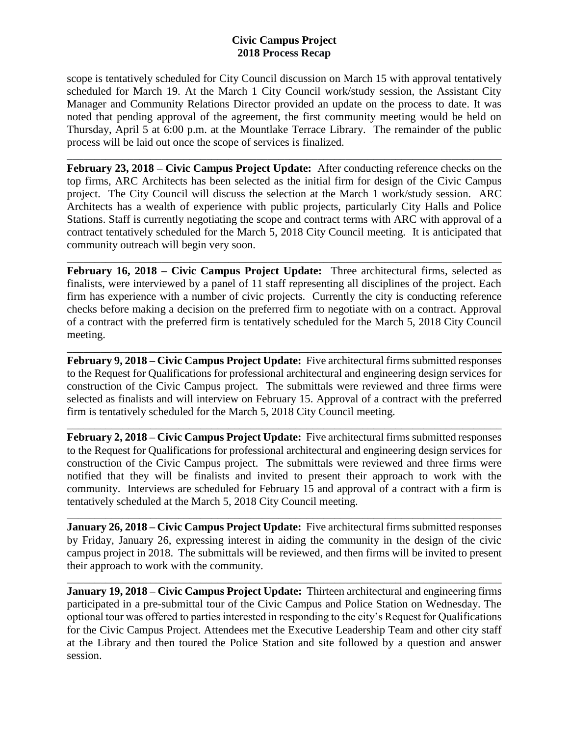scope is tentatively scheduled for City Council discussion on March 15 with approval tentatively scheduled for March 19. At the March 1 City Council work/study session, the Assistant City Manager and Community Relations Director provided an update on the process to date. It was noted that pending approval of the agreement, the first community meeting would be held on Thursday, April 5 at 6:00 p.m. at the Mountlake Terrace Library. The remainder of the public process will be laid out once the scope of services is finalized.

\_\_\_\_\_\_\_\_\_\_\_\_\_\_\_\_\_\_\_\_\_\_\_\_\_\_\_\_\_\_\_\_\_\_\_\_\_\_\_\_\_\_\_\_\_\_\_\_\_\_\_\_\_\_\_\_\_\_\_\_\_\_\_\_\_\_\_\_\_\_\_\_\_\_\_\_\_\_ **February 23, 2018 – Civic Campus Project Update:** After conducting reference checks on the top firms, ARC Architects has been selected as the initial firm for design of the Civic Campus project. The City Council will discuss the selection at the March 1 work/study session. ARC Architects has a wealth of experience with public projects, particularly City Halls and Police Stations. Staff is currently negotiating the scope and contract terms with ARC with approval of a contract tentatively scheduled for the March 5, 2018 City Council meeting. It is anticipated that community outreach will begin very soon.

**February 16, 2018 – Civic Campus Project Update:** Three architectural firms, selected as finalists, were interviewed by a panel of 11 staff representing all disciplines of the project. Each firm has experience with a number of civic projects. Currently the city is conducting reference checks before making a decision on the preferred firm to negotiate with on a contract. Approval of a contract with the preferred firm is tentatively scheduled for the March 5, 2018 City Council meeting.

\_\_\_\_\_\_\_\_\_\_\_\_\_\_\_\_\_\_\_\_\_\_\_\_\_\_\_\_\_\_\_\_\_\_\_\_\_\_\_\_\_\_\_\_\_\_\_\_\_\_\_\_\_\_\_\_\_\_\_\_\_\_\_\_\_\_\_\_\_\_\_\_\_\_\_\_\_\_

**February 9, 2018 – Civic Campus Project Update:** Five architectural firms submitted responses to the Request for Qualifications for professional architectural and engineering design services for construction of the Civic Campus project. The submittals were reviewed and three firms were selected as finalists and will interview on February 15. Approval of a contract with the preferred firm is tentatively scheduled for the March 5, 2018 City Council meeting.

\_\_\_\_\_\_\_\_\_\_\_\_\_\_\_\_\_\_\_\_\_\_\_\_\_\_\_\_\_\_\_\_\_\_\_\_\_\_\_\_\_\_\_\_\_\_\_\_\_\_\_\_\_\_\_\_\_\_\_\_\_\_\_\_\_\_\_\_\_\_\_\_\_\_\_\_\_\_

\_\_\_\_\_\_\_\_\_\_\_\_\_\_\_\_\_\_\_\_\_\_\_\_\_\_\_\_\_\_\_\_\_\_\_\_\_\_\_\_\_\_\_\_\_\_\_\_\_\_\_\_\_\_\_\_\_\_\_\_\_\_\_\_\_\_\_\_\_\_\_\_\_\_\_\_\_\_

**February 2, 2018 – Civic Campus Project Update:** Five architectural firms submitted responses to the Request for Qualifications for professional architectural and engineering design services for construction of the Civic Campus project. The submittals were reviewed and three firms were notified that they will be finalists and invited to present their approach to work with the community. Interviews are scheduled for February 15 and approval of a contract with a firm is tentatively scheduled at the March 5, 2018 City Council meeting.

**January 26, 2018 – Civic Campus Project Update:** Five architectural firms submitted responses by Friday, January 26, expressing interest in aiding the community in the design of the civic campus project in 2018. The submittals will be reviewed, and then firms will be invited to present their approach to work with the community.

\_\_\_\_\_\_\_\_\_\_\_\_\_\_\_\_\_\_\_\_\_\_\_\_\_\_\_\_\_\_\_\_\_\_\_\_\_\_\_\_\_\_\_\_\_\_\_\_\_\_\_\_\_\_\_\_\_\_\_\_\_\_\_\_\_\_\_\_\_\_\_\_\_\_\_\_\_\_

\_\_\_\_\_\_\_\_\_\_\_\_\_\_\_\_\_\_\_\_\_\_\_\_\_\_\_\_\_\_\_\_\_\_\_\_\_\_\_\_\_\_\_\_\_\_\_\_\_\_\_\_\_\_\_\_\_\_\_\_\_\_\_\_\_\_\_\_\_\_\_\_\_\_\_\_\_\_

**January 19, 2018 – Civic Campus Project Update:** Thirteen architectural and engineering firms participated in a pre-submittal tour of the Civic Campus and Police Station on Wednesday. The optional tour was offered to parties interested in responding to the city's Request for Qualifications for the Civic Campus Project. Attendees met the Executive Leadership Team and other city staff at the Library and then toured the Police Station and site followed by a question and answer session.